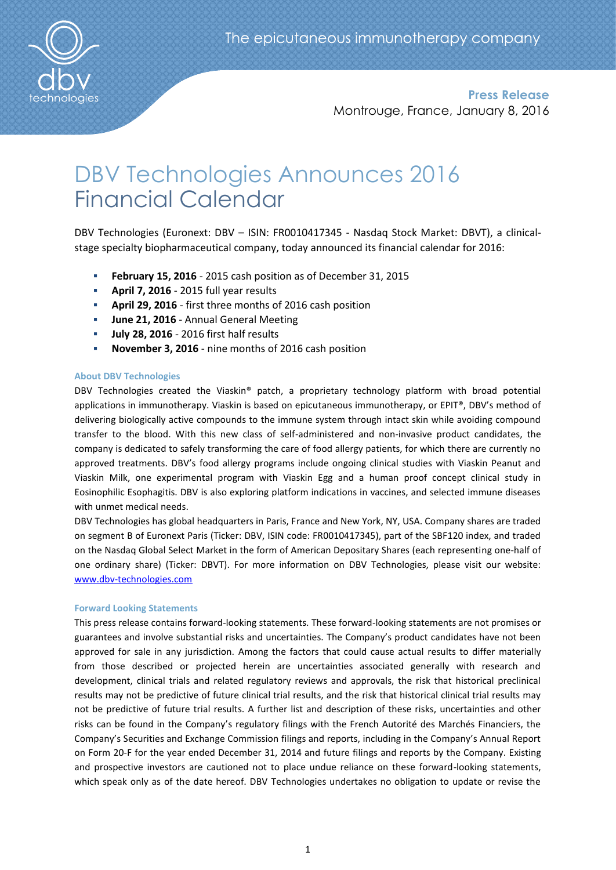

**Press Release** Montrouge, France, January 8, 2016

# DBV Technologies Announces 2016 Financial Calendar

DBV Technologies (Euronext: DBV – ISIN: FR0010417345 - Nasdaq Stock Market: DBVT), a clinicalstage specialty biopharmaceutical company, today announced its financial calendar for 2016:

- **February 15, 2016**  2015 cash position as of December 31, 2015
- **April 7, 2016**  2015 full year results
- **April 29, 2016** first three months of 2016 cash position
- **June 21, 2016** Annual General Meeting
- **July 28, 2016** 2016 first half results
- **November 3, 2016** nine months of 2016 cash position

## **About DBV Technologies**

DBV Technologies created the Viaskin® patch, a proprietary technology platform with broad potential applications in immunotherapy. Viaskin is based on epicutaneous immunotherapy, or EPIT®, DBV's method of delivering biologically active compounds to the immune system through intact skin while avoiding compound transfer to the blood. With this new class of self-administered and non-invasive product candidates, the company is dedicated to safely transforming the care of food allergy patients, for which there are currently no approved treatments. DBV's food allergy programs include ongoing clinical studies with Viaskin Peanut and Viaskin Milk, one experimental program with Viaskin Egg and a human proof concept clinical study in Eosinophilic Esophagitis. DBV is also exploring platform indications in vaccines, and selected immune diseases with unmet medical needs.

DBV Technologies has global headquarters in Paris, France and New York, NY, USA. Company shares are traded on segment B of Euronext Paris (Ticker: DBV, ISIN code: FR0010417345), part of the SBF120 index, and traded on the Nasdaq Global Select Market in the form of American Depositary Shares (each representing one-half of one ordinary share) (Ticker: DBVT). For more information on DBV Technologies, please visit our website: [www.dbv-technologies.com](http://www.dbv-technologies.com/)

### **Forward Looking Statements**

This press release contains forward-looking statements. These forward-looking statements are not promises or guarantees and involve substantial risks and uncertainties. The Company's product candidates have not been approved for sale in any jurisdiction. Among the factors that could cause actual results to differ materially from those described or projected herein are uncertainties associated generally with research and development, clinical trials and related regulatory reviews and approvals, the risk that historical preclinical results may not be predictive of future clinical trial results, and the risk that historical clinical trial results may not be predictive of future trial results. A further list and description of these risks, uncertainties and other risks can be found in the Company's regulatory filings with the French Autorité des Marchés Financiers, the Company's Securities and Exchange Commission filings and reports, including in the Company's Annual Report on Form 20-F for the year ended December 31, 2014 and future filings and reports by the Company. Existing and prospective investors are cautioned not to place undue reliance on these forward-looking statements, which speak only as of the date hereof. DBV Technologies undertakes no obligation to update or revise the